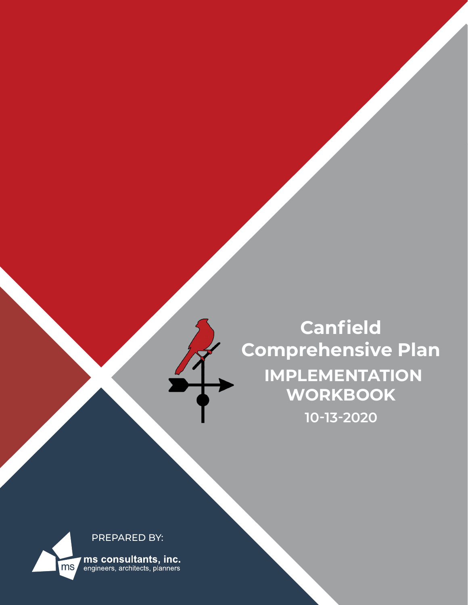

**Canfield Comprehensive Plan IMPLEMENTATION WORKBOOK 10-13-2020**

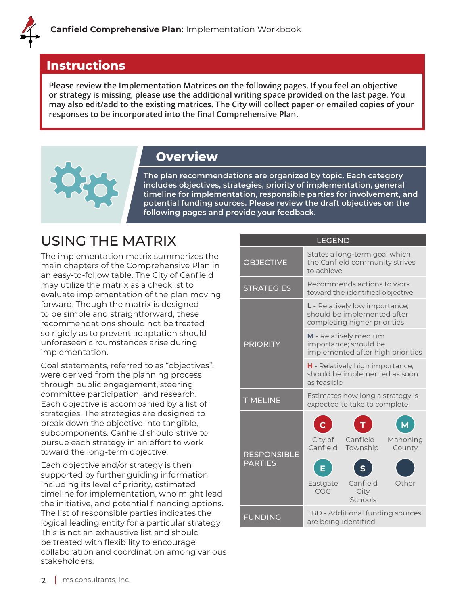#### **Instructions**

**Please review the Implementation Matrices on the following pages. If you feel an objective or strategy is missing, please use the additional writing space provided on the last page. You may also edit/add to the existing matrices. The City will collect paper or emailed copies of your responses to be incorporated into the final Comprehensive Plan.** 

### **Overview**

**The plan recommendations are organized by topic. Each category includes objectives, strategies, priority of implementation, general timeline for implementation, responsible parties for involvement, and potential funding sources. Please review the draft objectives on the following pages and provide your feedback.**

# USING THE MATRIX

The implementation matrix summarizes the main chapters of the Comprehensive Plan in an easy-to-follow table. The City of Canfield may utilize the matrix as a checklist to evaluate implementation of the plan moving forward. Though the matrix is designed to be simple and straightforward, these recommendations should not be treated so rigidly as to prevent adaptation should unforeseen circumstances arise during implementation.

Goal statements, referred to as "objectives", were derived from the planning process through public engagement, steering committee participation, and research. Each objective is accompanied by a list of strategies. The strategies are designed to break down the objective into tangible, subcomponents. Canfield should strive to pursue each strategy in an effort to work toward the long-term objective.

Each objective and/or strategy is then supported by further guiding information including its level of priority, estimated timeline for implementation, who might lead the initiative, and potential financing options. The list of responsible parties indicates the logical leading entity for a particular strategy. This is not an exhaustive list and should be treated with flexibility to encourage collaboration and coordination among various stakeholders.

|                                      | <b>LEGEND</b>                                                                                                                                    |  |  |  |  |  |  |  |
|--------------------------------------|--------------------------------------------------------------------------------------------------------------------------------------------------|--|--|--|--|--|--|--|
| <b>OBJECTIVE</b>                     | States a long-term goal which<br>the Canfield community strives<br>to achieve                                                                    |  |  |  |  |  |  |  |
| <b>STRATEGIES</b>                    | Recommends actions to work<br>toward the identified objective                                                                                    |  |  |  |  |  |  |  |
|                                      | L - Relatively low importance;<br>should be implemented after<br>completing higher priorities                                                    |  |  |  |  |  |  |  |
| <b>PRIORITY</b>                      | M - Relatively medium<br>importance; should be<br>implemented after high priorities                                                              |  |  |  |  |  |  |  |
|                                      | <b>H</b> - Relatively high importance;<br>should be implemented as soon<br>as feasible                                                           |  |  |  |  |  |  |  |
| <b>TIMELINE</b>                      | Estimates how long a strategy is<br>expected to take to complete                                                                                 |  |  |  |  |  |  |  |
| <b>RESPONSIBLE</b><br><b>PARTIES</b> | $\mathbf C$<br>City of<br>Canfield<br>Mahoning<br>Canfield<br>Township<br>County<br>E<br>Canfield<br>Other<br>Eastgate<br>COG<br>City<br>Schools |  |  |  |  |  |  |  |
| <b>FUNDING</b>                       | TBD - Additional funding sources<br>are being identified                                                                                         |  |  |  |  |  |  |  |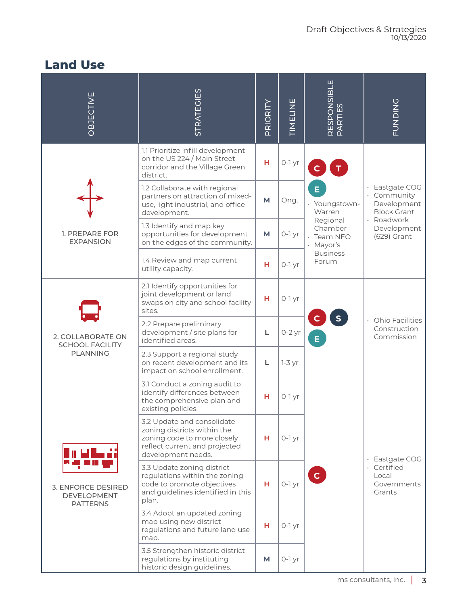### **Land Use**

| OBJECTIVE                                                          | <b>STRATEGIES</b>                                                                                                                               | PRIORITY | TIMELINE | RESPONSIBLE <br>PARTIES                                                                                     | PUNDING                                                                                                      |
|--------------------------------------------------------------------|-------------------------------------------------------------------------------------------------------------------------------------------------|----------|----------|-------------------------------------------------------------------------------------------------------------|--------------------------------------------------------------------------------------------------------------|
|                                                                    | 1.1 Prioritize infill development<br>on the US 224 / Main Street<br>corridor and the Village Green<br>district.                                 | н        | O-1 yr   | E.<br>· Youngstown-<br>Warren<br>Regional<br>Chamber<br>· Team NEO<br>· Mayor's<br><b>Business</b><br>Forum | · Eastgate COG<br>Community<br>Development<br><b>Block Grant</b><br>· Roadwork<br>Development<br>(629) Grant |
|                                                                    | 1.2 Collaborate with regional<br>partners on attraction of mixed-<br>use, light industrial, and office<br>development.                          | M        | Ong.     |                                                                                                             |                                                                                                              |
| 1. PREPARE FOR<br><b>EXPANSION</b>                                 | 1.3 Identify and map key<br>opportunities for development<br>on the edges of the community.                                                     | M        | $0-1$ yr |                                                                                                             |                                                                                                              |
|                                                                    | 1.4 Review and map current<br>utility capacity.                                                                                                 | н        | $O-Iyr$  |                                                                                                             |                                                                                                              |
| 2. COLLABORATE ON<br><b>SCHOOL FACILITY</b><br><b>PLANNING</b>     | 2.1 Identify opportunities for<br>joint development or land<br>swaps on city and school facility<br>sites.                                      | н        | $O-Iyr$  |                                                                                                             |                                                                                                              |
|                                                                    | 2.2 Prepare preliminary<br>development / site plans for<br>identified areas.                                                                    | L        | $0-2$ yr | S<br>Е.                                                                                                     | · Ohio Facilities<br>Construction<br>Commission                                                              |
|                                                                    | 2.3 Support a regional study<br>on recent development and its<br>impact on school enrollment.                                                   | L        | $1-3$ yr |                                                                                                             |                                                                                                              |
| <b>3. ENFORCE DESIRED</b><br><b>DEVELOPMENT</b><br><b>PATTERNS</b> | 3.1 Conduct a zoning audit to<br>identify differences between<br>the comprehensive plan and<br>existing policies.                               | н        | 0-1 yr   |                                                                                                             |                                                                                                              |
|                                                                    | 3.2 Update and consolidate<br>zoning districts within the<br>zoning code to more closely<br>reflect current and projected<br>development needs. | н        | $0-1$ yr |                                                                                                             | · Eastgate COG                                                                                               |
|                                                                    | 3.3 Update zoning district<br>regulations within the zoning<br>code to promote objectives<br>and guidelines identified in this<br>plan.         | н        | 0-1 yr   | $\mathbf{C}$                                                                                                | · Certified<br>Local<br>Governments<br>Grants                                                                |
|                                                                    | 3.4 Adopt an updated zoning<br>map using new district<br>regulations and future land use<br>map.                                                | н        | $0-1$ yr |                                                                                                             |                                                                                                              |
|                                                                    | 3.5 Strengthen historic district<br>regulations by instituting<br>historic design guidelines.                                                   | M        | $0-1$ yr |                                                                                                             |                                                                                                              |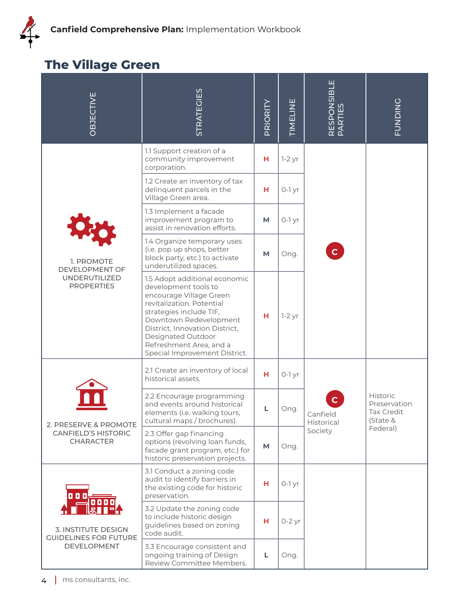## **The Village Green**

| OBJECTIVE                                                                                 | <b>STRATEGIES</b>                                                                                                                                                                                                                                                                      | PRIORITY | TIMELINE | RESPONSIBLE<br>PARTIES | <b>FUNDING</b>                                                   |
|-------------------------------------------------------------------------------------------|----------------------------------------------------------------------------------------------------------------------------------------------------------------------------------------------------------------------------------------------------------------------------------------|----------|----------|------------------------|------------------------------------------------------------------|
|                                                                                           | 1.1 Support creation of a<br>community improvement<br>corporation.                                                                                                                                                                                                                     | н        | $1-2$ yr |                        |                                                                  |
|                                                                                           | 1.2 Create an inventory of tax<br>delinquent parcels in the<br>Village Green area.                                                                                                                                                                                                     | н        | $0-1$ yr |                        |                                                                  |
|                                                                                           | 1.3 Implement a facade<br>improvement program to<br>assist in renovation efforts.                                                                                                                                                                                                      | M        | $0-1$ yr |                        |                                                                  |
| 1. PROMOTE<br>DEVELOPMENT OF<br>UNDERUTILIZED<br><b>PROPERTIES</b>                        | 1.4 Organize temporary uses<br>(i.e. pop up shops, better<br>block party, etc.) to activate<br>underutilized spaces.                                                                                                                                                                   | M        | Ong.     |                        |                                                                  |
|                                                                                           | 1.5 Adopt additional economic<br>development tools to<br>encourage Village Green<br>revitalization. Potential<br>strategies include TIF,<br>Downtown Redevelopment<br>District, Innovation District,<br>Designated Outdoor<br>Refreshment Area, and a<br>Special Improvement District. | н        | $1-2$ yr |                        |                                                                  |
| 2. PRESERVE & PROMOTE<br><b>CANFIELD'S HISTORIC</b><br><b>CHARACTER</b>                   | 2.1 Create an inventory of local<br>historical assets.                                                                                                                                                                                                                                 | н        | $0-1$ yr | Canfield<br>Historical | <b>Historic</b><br>Preservation<br><b>Tax Credit</b><br>(State & |
|                                                                                           | 2.2 Encourage programming<br>and events around historical<br>elements (i.e. walking tours,<br>cultural maps / brochures).                                                                                                                                                              | L        | Ong.     |                        |                                                                  |
|                                                                                           | 2.3 Offer gap financing<br>options (revolving loan funds,<br>facade grant program, etc.) for<br>historic preservation projects.                                                                                                                                                        | M        | Ong.     | Society                | Federal)                                                         |
| 0 O O<br><b>3. INSTITUTE DESIGN</b><br><b>GUIDELINES FOR FUTURE</b><br><b>DEVELOPMENT</b> | 3.1 Conduct a zoning code<br>audit to identify barriers in<br>the existing code for historic<br>preservation.                                                                                                                                                                          | н        | $0-1$ yr |                        |                                                                  |
|                                                                                           | 3.2 Update the zoning code<br>to include historic design<br>guidelines based on zoning<br>code audit.                                                                                                                                                                                  | н        | $0-2$ yr |                        |                                                                  |
|                                                                                           | 3.3 Encourage consistent and<br>ongoing training of Design<br>Review Committee Members.                                                                                                                                                                                                | L        | Ong.     |                        |                                                                  |
| ms consultants, inc.<br>4                                                                 |                                                                                                                                                                                                                                                                                        |          |          |                        |                                                                  |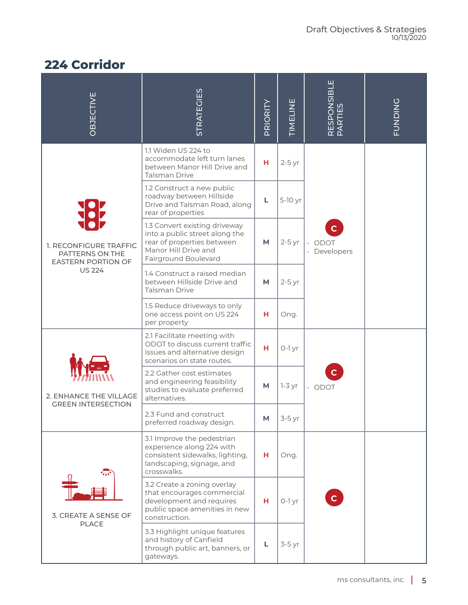# **224 Corridor**

| OBJECTIVE                                                                               | <b>STRATEGIES</b>                                                                                                                             | PRIORITY | TIMELINE | RESPONSIBLE<br>PARTIES                 | <b>PUNDING</b> |
|-----------------------------------------------------------------------------------------|-----------------------------------------------------------------------------------------------------------------------------------------------|----------|----------|----------------------------------------|----------------|
| 1. RECONFIGURE TRAFFIC<br>PATTERNS ON THE<br><b>EASTERN PORTION OF</b><br><b>US 224</b> | 1.1 Widen US 224 to<br>accommodate left turn lanes<br>between Manor Hill Drive and<br><b>Talsman Drive</b>                                    | н        | $2-5$ yr |                                        |                |
|                                                                                         | 1.2 Construct a new public<br>roadway between Hillside<br>Drive and Talsman Road, along<br>rear of properties                                 | L        | 5-10 yr  |                                        |                |
|                                                                                         | 1.3 Convert existing driveway<br>into a public street along the<br>rear of properties between<br>Manor Hill Drive and<br>Fairground Boulevard | М        | $2-5$ yr | $\mathbf{C}$<br>· ODOT<br>· Developers |                |
|                                                                                         | 1.4 Construct a raised median<br>between Hillside Drive and<br><b>Talsman Drive</b>                                                           | M        | $2-5$ yr |                                        |                |
|                                                                                         | 1.5 Reduce driveways to only<br>one access point on US 224<br>per property                                                                    | н        | Ong.     |                                        |                |
| 2. ENHANCE THE VILLAGE<br><b>GREEN INTERSECTION</b>                                     | 2.1 Facilitate meeting with<br>ODOT to discuss current traffic<br>issues and alternative design<br>scenarios on state routes.                 | н        | 0-1 yr   |                                        |                |
|                                                                                         | 2.2 Gather cost estimates<br>and engineering feasibility<br>studies to evaluate preferred<br>alternatives.                                    | M        | $7-3$ yr | $\cdot$ ODOT                           |                |
|                                                                                         | 2.3 Fund and construct<br>preferred roadway design.                                                                                           | M        | $3-5$ yr |                                        |                |
| $\overline{\mathbf{w}}$<br>3. CREATE A SENSE OF<br><b>PLACE</b>                         | 3.1 Improve the pedestrian<br>experience along 224 with<br>consistent sidewalks, lighting,<br>landscaping, signage, and<br>crosswalks.        | н.       | Ong.     |                                        |                |
|                                                                                         | 3.2 Create a zoning overlay<br>that encourages commercial<br>development and requires<br>public space amenities in new<br>construction.       | н        | $0-1$ yr | $\mathbf{C}$                           |                |
|                                                                                         | 3.3 Highlight unique features<br>and history of Canfield<br>through public art, banners, or<br>gateways.                                      | Г        | $3-5$ yr |                                        |                |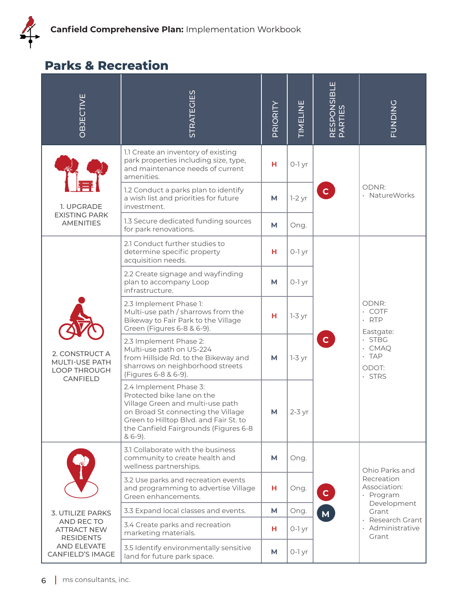# **Parks & Recreation**

| OBJECTIVE                                                                                                         | <b>STRATEGIES</b>                                                                                                                                                                                                              | PRIORITY | TIMELINE | RESPONSIBLE<br>PARTIES | FUNDING                                                                                                                   |
|-------------------------------------------------------------------------------------------------------------------|--------------------------------------------------------------------------------------------------------------------------------------------------------------------------------------------------------------------------------|----------|----------|------------------------|---------------------------------------------------------------------------------------------------------------------------|
|                                                                                                                   | 1.1 Create an inventory of existing<br>park properties including size, type,<br>and maintenance needs of current<br>amenities.                                                                                                 | н        | $0-1$ yr | $\mathbf{C}$           | ODNR:<br>· NatureWorks                                                                                                    |
| 1. UPGRADE                                                                                                        | 1.2 Conduct a parks plan to identify<br>a wish list and priorities for future<br>investment.                                                                                                                                   | M        | $1-2$ yr |                        |                                                                                                                           |
| <b>EXISTING PARK</b><br><b>AMENITIES</b>                                                                          | 1.3 Secure dedicated funding sources<br>for park renovations.                                                                                                                                                                  | M        | Ong.     |                        |                                                                                                                           |
|                                                                                                                   | 2.1 Conduct further studies to<br>determine specific property<br>acquisition needs.                                                                                                                                            | н        | $0-1$ yr |                        |                                                                                                                           |
| 2. CONSTRUCT A<br>MULTI-USE PATH<br>LOOP THROUGH<br><b>CANFIELD</b>                                               | 2.2 Create signage and wayfinding<br>plan to accompany Loop<br>infrastructure.                                                                                                                                                 | M        | $0-1$ yr | $\mathbf C$            | ODNR:<br>$\cdot$ COTF<br>$\cdot$ RTP<br>Eastgate:<br>$\cdot$ STBG<br>$\cdot$ CMAQ<br>$\cdot$ TAP<br>ODOT:<br>$\cdot$ STRS |
|                                                                                                                   | 2.3 Implement Phase 1:<br>Multi-use path / sharrows from the<br>Bikeway to Fair Park to the Village<br>Green (Figures 6-8 & 6-9).                                                                                              | н        | $7-3$ yr |                        |                                                                                                                           |
|                                                                                                                   | 2.3 Implement Phase 2:<br>Multi-use path on US-224<br>from Hillside Rd. to the Bikeway and<br>sharrows on neighborhood streets<br>(Figures 6-8 & 6-9).                                                                         | M        | $1-3$ yr |                        |                                                                                                                           |
|                                                                                                                   | 2.4 Implement Phase 3:<br>Protected bike lane on the<br>Village Green and multi-use path<br>on Broad St connecting the Village<br>Green to Hilltop Blvd. and Fair St. to<br>the Canfield Fairgrounds (Figures 6-8<br>$& 6-9).$ | М        | $2-3$ yr |                        |                                                                                                                           |
| 3. UTILIZE PARKS<br>AND RECTO<br><b>ATTRACT NEW</b><br><b>RESIDENTS</b><br>AND ELEVATE<br><b>CANFIELD'S IMAGE</b> | 3.1 Collaborate with the business<br>community to create health and<br>wellness partnerships.                                                                                                                                  | M        | Ong.     |                        | Ohio Parks and<br>Recreation<br>Association:<br>· Program<br>Development<br>Grant                                         |
|                                                                                                                   | 3.2 Use parks and recreation events<br>and programming to advertise Village<br>Green enhancements.                                                                                                                             | н        | Ong.     | $\mathbf{C}$           |                                                                                                                           |
|                                                                                                                   | 3.3 Expand local classes and events.                                                                                                                                                                                           | M        | Ong.     | M<br>Grant             |                                                                                                                           |
|                                                                                                                   | 3.4 Create parks and recreation<br>marketing materials.                                                                                                                                                                        | н        | 0-1 yr   |                        | Research Grant<br>· Administrative                                                                                        |
|                                                                                                                   | 3.5 Identify environmentally sensitive<br>land for future park space.                                                                                                                                                          | M        | $0-1$ yr |                        |                                                                                                                           |
| ms consultants, inc.<br>6                                                                                         |                                                                                                                                                                                                                                |          |          |                        |                                                                                                                           |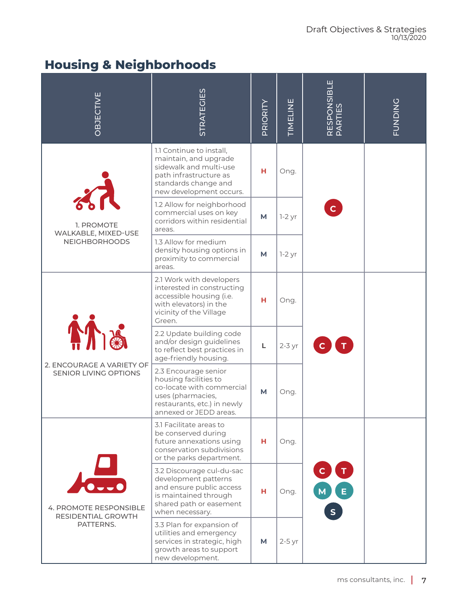# **Housing & Neighborhoods**

| <b>OBJECTIVE</b>                                                                  | <b>STRATEGIES</b>                                                                                                                                        | PRIORITY | <b>TIMELINE</b> | RESPONSIBLE<br>PARTIES | <b>PUNDING</b> |
|-----------------------------------------------------------------------------------|----------------------------------------------------------------------------------------------------------------------------------------------------------|----------|-----------------|------------------------|----------------|
|                                                                                   | 1.1 Continue to install,<br>maintain, and upgrade<br>sidewalk and multi-use<br>path infrastructure as<br>standards change and<br>new development occurs. | н        | Ong.            |                        |                |
| 1. PROMOTE<br>WALKABLE, MIXED-USE                                                 | 1.2 Allow for neighborhood<br>commercial uses on key<br>corridors within residential<br>areas.                                                           | M        | $1-2$ yr        | $\mathbf{C}$           |                |
| <b>NEIGHBORHOODS</b>                                                              | 1.3 Allow for medium<br>density housing options in<br>proximity to commercial<br>areas.                                                                  | M        | $1-2$ yr        |                        |                |
| <b>A</b><br>2. ENCOURAGE A VARIETY OF<br>SENIOR LIVING OPTIONS                    | 2.1 Work with developers<br>interested in constructing<br>accessible housing (i.e.<br>with elevators) in the<br>vicinity of the Village<br>Green.        | н        | Ong.            |                        |                |
|                                                                                   | 2.2 Update building code<br>and/or design guidelines<br>to reflect best practices in<br>age-friendly housing.                                            | L        | $2-3$ yr        |                        |                |
|                                                                                   | 2.3 Encourage senior<br>housing facilities to<br>co-locate with commercial<br>uses (pharmacies,<br>restaurants, etc.) in newly<br>annexed or JEDD areas. | M        | Ong.            |                        |                |
| $\sqrt{\frac{1}{2}}$<br>4. PROMOTE RESPONSIBLE<br>RESIDENTIAL GROWTH<br>PATTERNS. | 3.1 Facilitate areas to<br>be conserved during<br>future annexations using<br>conservation subdivisions<br>or the parks department.                      | н        | Ong.            |                        |                |
|                                                                                   | 3.2 Discourage cul-du-sac<br>development patterns<br>and ensure public access<br>is maintained through<br>shared path or easement<br>when necessary.     | н        | Ong.            | C T                    |                |
|                                                                                   | 3.3 Plan for expansion of<br>utilities and emergency<br>services in strategic, high<br>growth areas to support<br>new development.                       | M        | $2-5$ yr        |                        |                |